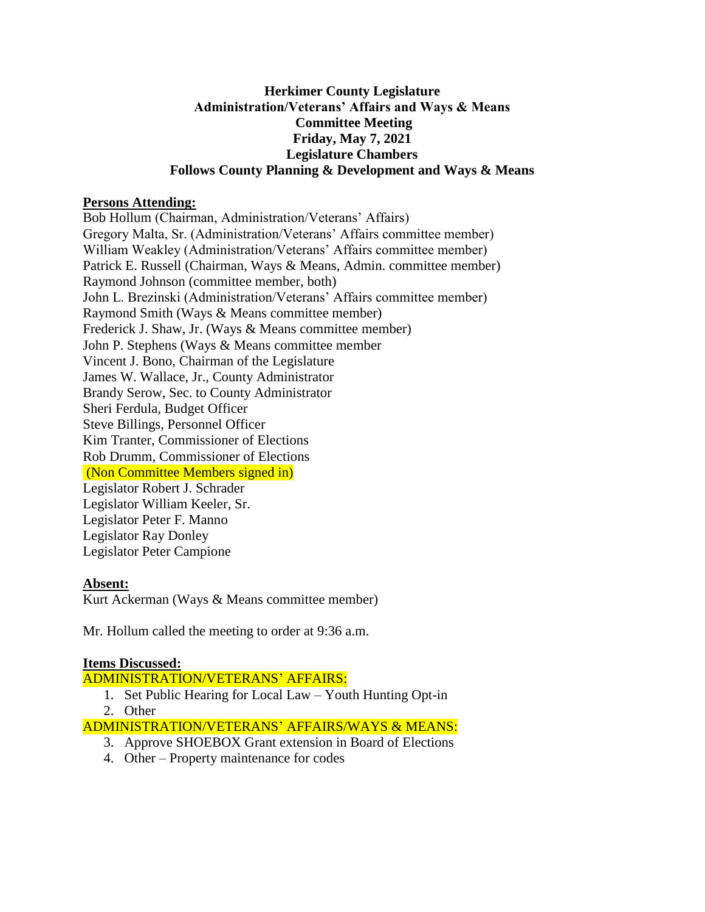## **Herkimer County Legislature Administration/Veterans' Affairs and Ways & Means Committee Meeting Friday, May 7, 2021 Legislature Chambers Follows County Planning & Development and Ways & Means**

### **Persons Attending:**

Bob Hollum (Chairman, Administration/Veterans' Affairs) Gregory Malta, Sr. (Administration/Veterans' Affairs committee member) William Weakley (Administration/Veterans' Affairs committee member) Patrick E. Russell (Chairman, Ways & Means, Admin. committee member) Raymond Johnson (committee member, both) John L. Brezinski (Administration/Veterans' Affairs committee member) Raymond Smith (Ways & Means committee member) Frederick J. Shaw, Jr. (Ways & Means committee member) John P. Stephens (Ways & Means committee member Vincent J. Bono, Chairman of the Legislature James W. Wallace, Jr., County Administrator Brandy Serow, Sec. to County Administrator Sheri Ferdula, Budget Officer Steve Billings, Personnel Officer Kim Tranter, Commissioner of Elections Rob Drumm, Commissioner of Elections (Non Committee Members signed in) Legislator Robert J. Schrader Legislator William Keeler, Sr. Legislator Peter F. Manno Legislator Ray Donley Legislator Peter Campione

#### **Absent:**

Kurt Ackerman (Ways & Means committee member)

Mr. Hollum called the meeting to order at 9:36 a.m.

#### **Items Discussed:**

ADMINISTRATION/VETERANS' AFFAIRS:

- 1. Set Public Hearing for Local Law Youth Hunting Opt-in
- 2. Other

# ADMINISTRATION/VETERANS' AFFAIRS/WAYS & MEANS:

- 3. Approve SHOEBOX Grant extension in Board of Elections
- 4. Other Property maintenance for codes